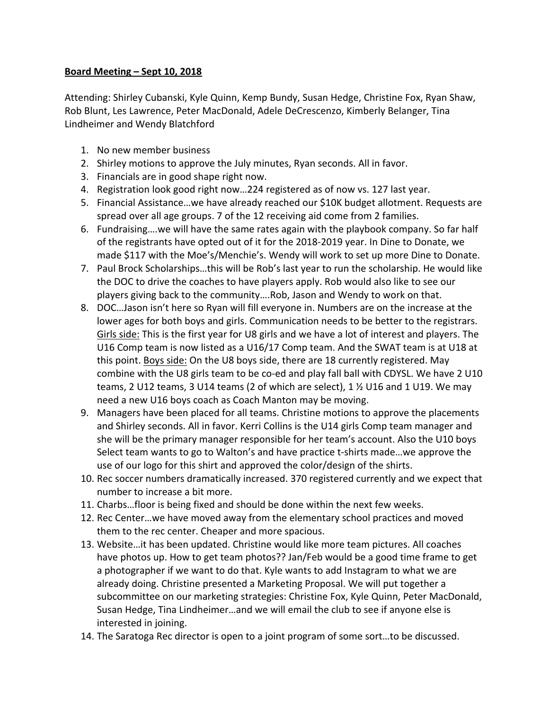## **Board Meeting – Sept 10, 2018**

Attending: Shirley Cubanski, Kyle Quinn, Kemp Bundy, Susan Hedge, Christine Fox, Ryan Shaw, Rob Blunt, Les Lawrence, Peter MacDonald, Adele DeCrescenzo, Kimberly Belanger, Tina Lindheimer and Wendy Blatchford

- 1. No new member business
- 2. Shirley motions to approve the July minutes, Ryan seconds. All in favor.
- 3. Financials are in good shape right now.
- 4. Registration look good right now...224 registered as of now vs. 127 last year.
- 5. Financial Assistance...we have already reached our \$10K budget allotment. Requests are spread over all age groups. 7 of the 12 receiving aid come from 2 families.
- 6. Fundraising....we will have the same rates again with the playbook company. So far half of the registrants have opted out of it for the 2018-2019 year. In Dine to Donate, we made \$117 with the Moe's/Menchie's. Wendy will work to set up more Dine to Donate.
- 7. Paul Brock Scholarships...this will be Rob's last year to run the scholarship. He would like the DOC to drive the coaches to have players apply. Rob would also like to see our players giving back to the community....Rob, Jason and Wendy to work on that.
- 8. DOC...Jason isn't here so Ryan will fill everyone in. Numbers are on the increase at the lower ages for both boys and girls. Communication needs to be better to the registrars. Girls side: This is the first year for U8 girls and we have a lot of interest and players. The U16 Comp team is now listed as a U16/17 Comp team. And the SWAT team is at U18 at this point. Boys side: On the U8 boys side, there are 18 currently registered. May combine with the U8 girls team to be co-ed and play fall ball with CDYSL. We have 2 U10 teams, 2 U12 teams, 3 U14 teams (2 of which are select), 1  $\frac{1}{2}$  U16 and 1 U19. We may need a new U16 boys coach as Coach Manton may be moving.
- 9. Managers have been placed for all teams. Christine motions to approve the placements and Shirley seconds. All in favor. Kerri Collins is the U14 girls Comp team manager and she will be the primary manager responsible for her team's account. Also the U10 boys Select team wants to go to Walton's and have practice t-shirts made...we approve the use of our logo for this shirt and approved the color/design of the shirts.
- 10. Rec soccer numbers dramatically increased. 370 registered currently and we expect that number to increase a bit more.
- 11. Charbs...floor is being fixed and should be done within the next few weeks.
- 12. Rec Center...we have moved away from the elementary school practices and moved them to the rec center. Cheaper and more spacious.
- 13. Website…it has been updated. Christine would like more team pictures. All coaches have photos up. How to get team photos?? Jan/Feb would be a good time frame to get a photographer if we want to do that. Kyle wants to add Instagram to what we are already doing. Christine presented a Marketing Proposal. We will put together a subcommittee on our marketing strategies: Christine Fox, Kyle Quinn, Peter MacDonald, Susan Hedge, Tina Lindheimer...and we will email the club to see if anyone else is interested in joining.
- 14. The Saratoga Rec director is open to a joint program of some sort...to be discussed.